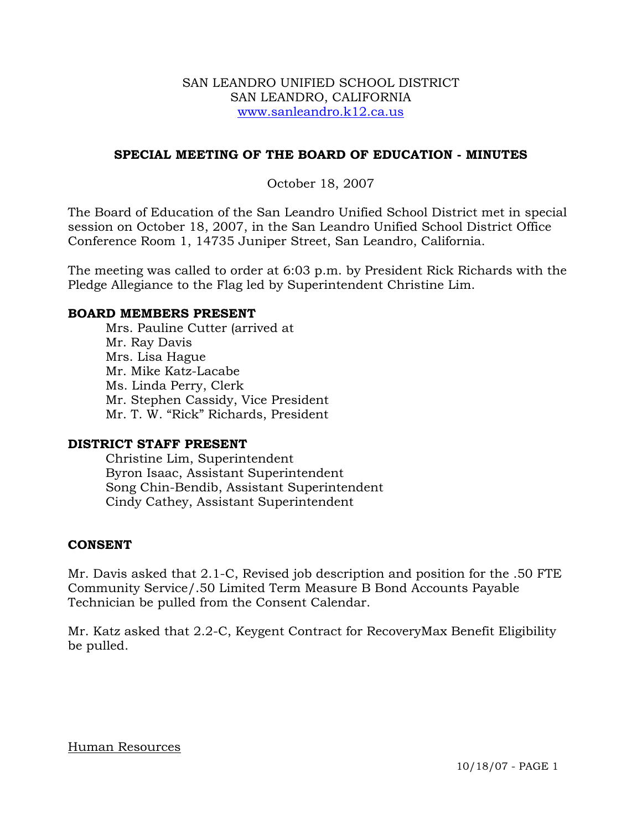#### SAN LEANDRO UNIFIED SCHOOL DISTRICT SAN LEANDRO, CALIFORNIA www.sanleandro.k12.ca.us

# **SPECIAL MEETING OF THE BOARD OF EDUCATION - MINUTES**

## October 18, 2007

The Board of Education of the San Leandro Unified School District met in special session on October 18, 2007, in the San Leandro Unified School District Office Conference Room 1, 14735 Juniper Street, San Leandro, California.

The meeting was called to order at 6:03 p.m. by President Rick Richards with the Pledge Allegiance to the Flag led by Superintendent Christine Lim.

#### **BOARD MEMBERS PRESENT**

Mrs. Pauline Cutter (arrived at Mr. Ray Davis Mrs. Lisa Hague Mr. Mike Katz-Lacabe Ms. Linda Perry, Clerk Mr. Stephen Cassidy, Vice President Mr. T. W. "Rick" Richards, President

#### **DISTRICT STAFF PRESENT**

Christine Lim, Superintendent Byron Isaac, Assistant Superintendent Song Chin-Bendib, Assistant Superintendent Cindy Cathey, Assistant Superintendent

#### **CONSENT**

Mr. Davis asked that 2.1-C, Revised job description and position for the .50 FTE Community Service/.50 Limited Term Measure B Bond Accounts Payable Technician be pulled from the Consent Calendar.

Mr. Katz asked that 2.2-C, Keygent Contract for RecoveryMax Benefit Eligibility be pulled.

#### Human Resources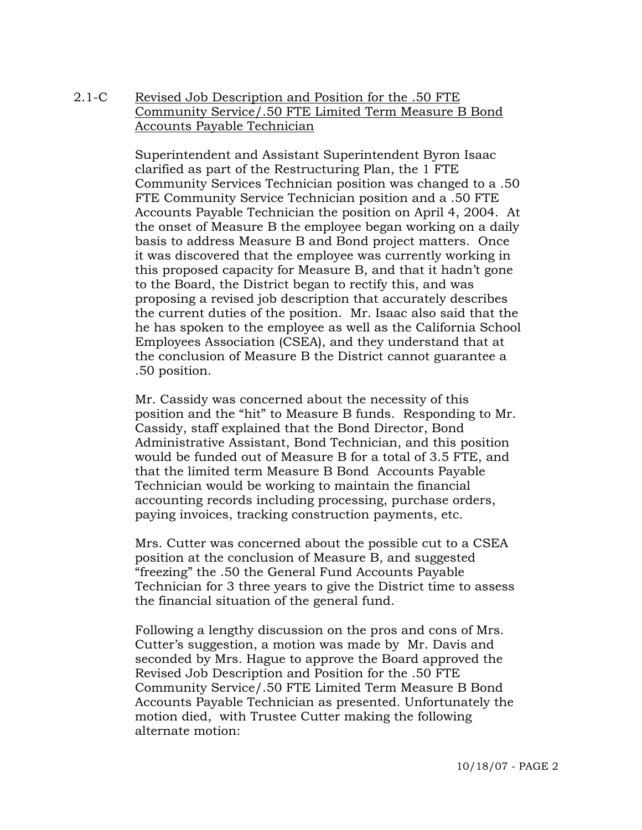# 2.1-C Revised Job Description and Position for the .50 FTE Community Service/.50 FTE Limited Term Measure B Bond Accounts Payable Technician

Superintendent and Assistant Superintendent Byron Isaac clarified as part of the Restructuring Plan, the 1 FTE Community Services Technician position was changed to a .50 FTE Community Service Technician position and a .50 FTE Accounts Payable Technician the position on April 4, 2004. At the onset of Measure B the employee began working on a daily basis to address Measure B and Bond project matters. Once it was discovered that the employee was currently working in this proposed capacity for Measure B, and that it hadn't gone to the Board, the District began to rectify this, and was proposing a revised job description that accurately describes the current duties of the position. Mr. Isaac also said that the he has spoken to the employee as well as the California School Employees Association (CSEA), and they understand that at the conclusion of Measure B the District cannot guarantee a .50 position.

Mr. Cassidy was concerned about the necessity of this position and the "hit" to Measure B funds. Responding to Mr. Cassidy, staff explained that the Bond Director, Bond Administrative Assistant, Bond Technician, and this position would be funded out of Measure B for a total of 3.5 FTE, and that the limited term Measure B Bond Accounts Payable Technician would be working to maintain the financial accounting records including processing, purchase orders, paying invoices, tracking construction payments, etc.

Mrs. Cutter was concerned about the possible cut to a CSEA position at the conclusion of Measure B, and suggested "freezing" the .50 the General Fund Accounts Payable Technician for 3 three years to give the District time to assess the financial situation of the general fund.

Following a lengthy discussion on the pros and cons of Mrs. Cutter's suggestion, a motion was made by Mr. Davis and seconded by Mrs. Hague to approve the Board approved the Revised Job Description and Position for the .50 FTE Community Service/.50 FTE Limited Term Measure B Bond Accounts Payable Technician as presented. Unfortunately the motion died, with Trustee Cutter making the following alternate motion: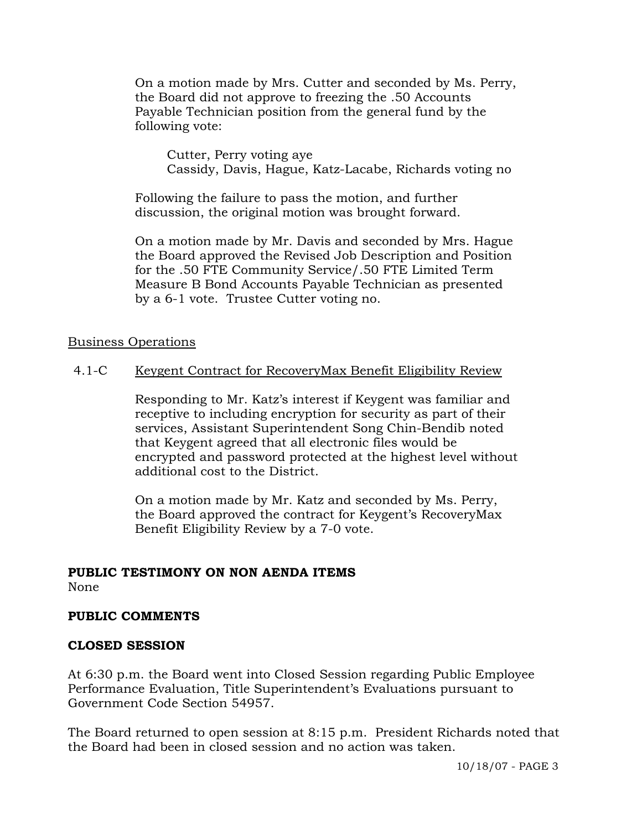On a motion made by Mrs. Cutter and seconded by Ms. Perry, the Board did not approve to freezing the .50 Accounts Payable Technician position from the general fund by the following vote:

 Cutter, Perry voting aye Cassidy, Davis, Hague, Katz-Lacabe, Richards voting no

Following the failure to pass the motion, and further discussion, the original motion was brought forward.

On a motion made by Mr. Davis and seconded by Mrs. Hague the Board approved the Revised Job Description and Position for the .50 FTE Community Service/.50 FTE Limited Term Measure B Bond Accounts Payable Technician as presented by a 6-1 vote. Trustee Cutter voting no.

## Business Operations

# 4.1-C Keygent Contract for RecoveryMax Benefit Eligibility Review

Responding to Mr. Katz's interest if Keygent was familiar and receptive to including encryption for security as part of their services, Assistant Superintendent Song Chin-Bendib noted that Keygent agreed that all electronic files would be encrypted and password protected at the highest level without additional cost to the District.

On a motion made by Mr. Katz and seconded by Ms. Perry, the Board approved the contract for Keygent's RecoveryMax Benefit Eligibility Review by a 7-0 vote.

# **PUBLIC TESTIMONY ON NON AENDA ITEMS**

None

# **PUBLIC COMMENTS**

# **CLOSED SESSION**

At 6:30 p.m. the Board went into Closed Session regarding Public Employee Performance Evaluation, Title Superintendent's Evaluations pursuant to Government Code Section 54957.

The Board returned to open session at 8:15 p.m. President Richards noted that the Board had been in closed session and no action was taken.

10/18/07 - PAGE 3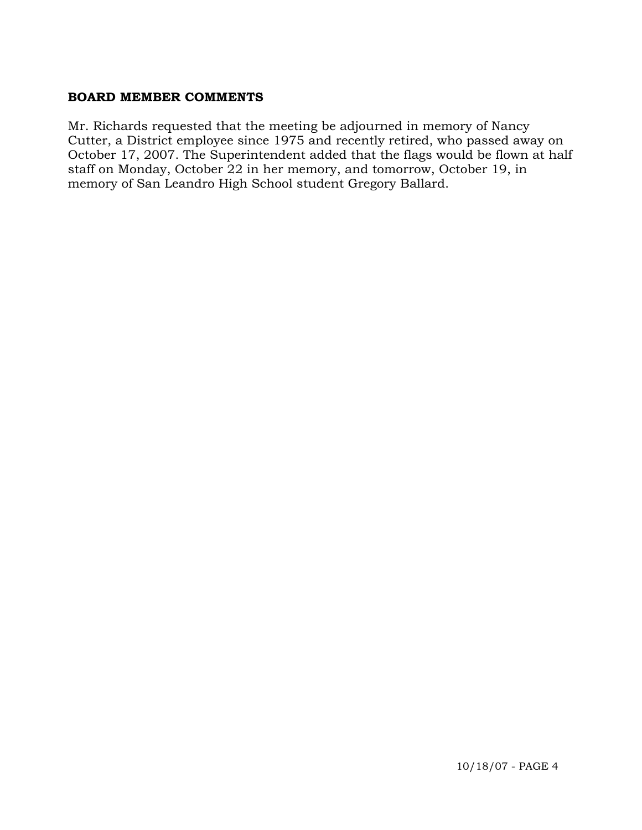## **BOARD MEMBER COMMENTS**

Mr. Richards requested that the meeting be adjourned in memory of Nancy Cutter, a District employee since 1975 and recently retired, who passed away on October 17, 2007. The Superintendent added that the flags would be flown at half staff on Monday, October 22 in her memory, and tomorrow, October 19, in memory of San Leandro High School student Gregory Ballard.